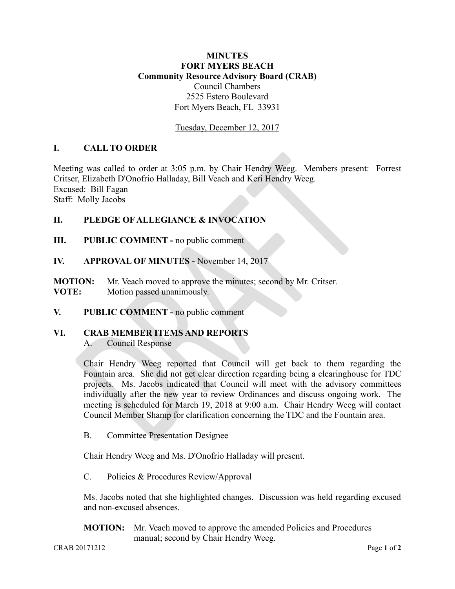# **MINUTES FORT MYERS BEACH Community Resource Advisory Board (CRAB)** Council Chambers 2525 Estero Boulevard Fort Myers Beach, FL 33931

Tuesday, December 12, 2017

## **I. CALL TO ORDER**

Meeting was called to order at 3:05 p.m. by Chair Hendry Weeg. Members present: Forrest Critser, Elizabeth D'Onofrio Halladay, Bill Veach and Keri Hendry Weeg. Excused: Bill Fagan Staff: Molly Jacobs

## **II. PLEDGE OF ALLEGIANCE & INVOCATION**

- **III. PUBLIC COMMENT -** no public comment
- **IV. APPROVAL OF MINUTES -** November 14, 2017
- **MOTION:** Mr. Veach moved to approve the minutes; second by Mr. Critser. **VOTE:** Motion passed unanimously.
- **V. PUBLIC COMMENT -** no public comment

# **VI. CRAB MEMBER ITEMS AND REPORTS**

A. Council Response

Chair Hendry Weeg reported that Council will get back to them regarding the Fountain area. She did not get clear direction regarding being a clearinghouse for TDC projects. Ms. Jacobs indicated that Council will meet with the advisory committees individually after the new year to review Ordinances and discuss ongoing work. The meeting is scheduled for March 19, 2018 at 9:00 a.m. Chair Hendry Weeg will contact Council Member Shamp for clarification concerning the TDC and the Fountain area.

B. Committee Presentation Designee

Chair Hendry Weeg and Ms. D'Onofrio Halladay will present.

C. Policies & Procedures Review/Approval

Ms. Jacobs noted that she highlighted changes. Discussion was held regarding excused and non-excused absences.

## **MOTION:** Mr. Veach moved to approve the amended Policies and Procedures manual; second by Chair Hendry Weeg.